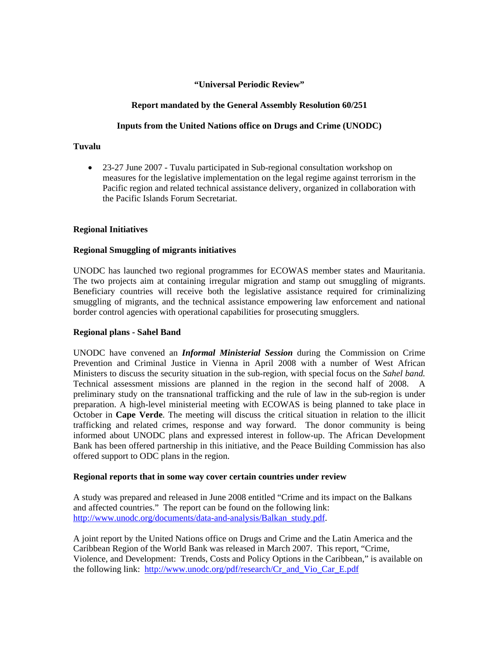#### **"Universal Periodic Review"**

## **Report mandated by the General Assembly Resolution 60/251**

## **Inputs from the United Nations office on Drugs and Crime (UNODC)**

### **Tuvalu**

• 23-27 June 2007 - Tuvalu participated in Sub-regional consultation workshop on measures for the legislative implementation on the legal regime against terrorism in the Pacific region and related technical assistance delivery, organized in collaboration with the Pacific Islands Forum Secretariat.

# **Regional Initiatives**

### **Regional Smuggling of migrants initiatives**

UNODC has launched two regional programmes for ECOWAS member states and Mauritania. The two projects aim at containing irregular migration and stamp out smuggling of migrants. Beneficiary countries will receive both the legislative assistance required for criminalizing smuggling of migrants, and the technical assistance empowering law enforcement and national border control agencies with operational capabilities for prosecuting smugglers.

### **Regional plans - Sahel Band**

UNODC have convened an *Informal Ministerial Session* during the Commission on Crime Prevention and Criminal Justice in Vienna in April 2008 with a number of West African Ministers to discuss the security situation in the sub-region, with special focus on the *Sahel band.*  Technical assessment missions are planned in the region in the second half of 2008. A preliminary study on the transnational trafficking and the rule of law in the sub-region is under preparation. A high-level ministerial meeting with ECOWAS is being planned to take place in October in **Cape Verde**. The meeting will discuss the critical situation in relation to the illicit trafficking and related crimes, response and way forward. The donor community is being informed about UNODC plans and expressed interest in follow-up. The African Development Bank has been offered partnership in this initiative, and the Peace Building Commission has also offered support to ODC plans in the region.

### **Regional reports that in some way cover certain countries under review**

A study was prepared and released in June 2008 entitled "Crime and its impact on the Balkans and affected countries." The report can be found on the following link: [http://www.unodc.org/documents/data-and-analysis/Balkan\\_study.pdf.](http://www.unodc.org/documents/data-and-analysis/Balkan_study.pdf)

A joint report by the United Nations office on Drugs and Crime and the Latin America and the Caribbean Region of the World Bank was released in March 2007. This report, "Crime, Violence, and Development: Trends, Costs and Policy Options in the Caribbean," is available on the following link: [http://www.unodc.org/pdf/research/Cr\\_and\\_Vio\\_Car\\_E.pdf](http://www.unodc.org/pdf/research/Cr_and_Vio_Car_E.pdf)